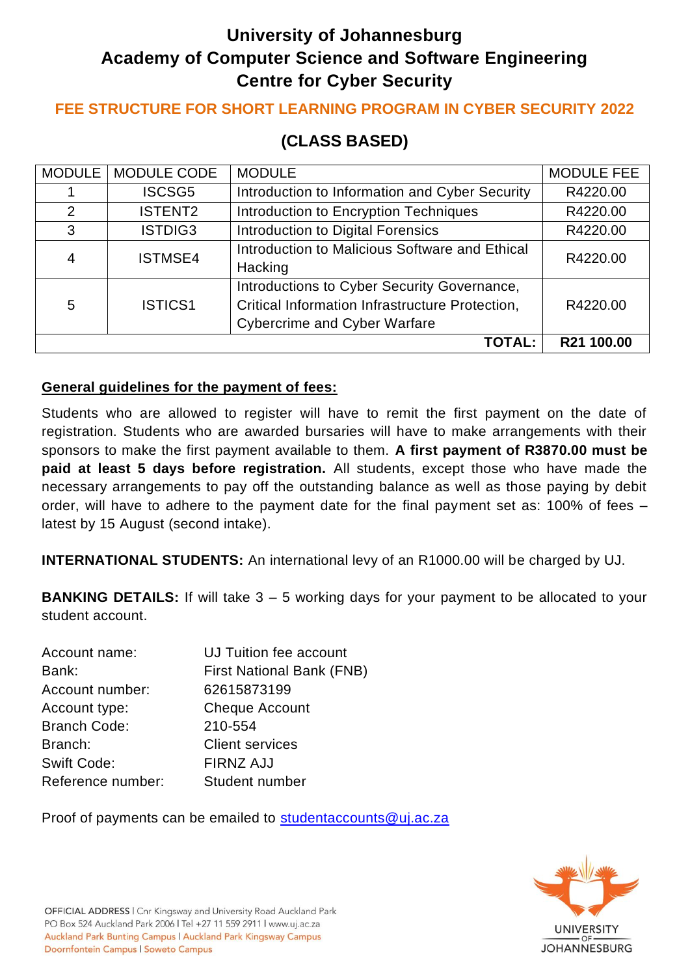# **University of Johannesburg Academy of Computer Science and Software Engineering Centre for Cyber Security**

## **FEE STRUCTURE FOR SHORT LEARNING PROGRAM IN CYBER SECURITY 2022**

## **(CLASS BASED)**

|                | MODULE   MODULE CODE | <b>MODULE</b>                                   | <b>MODULE FEE</b> |
|----------------|----------------------|-------------------------------------------------|-------------------|
|                | <b>ISCSG5</b>        | Introduction to Information and Cyber Security  | R4220.00          |
| $\overline{2}$ | <b>ISTENT2</b>       | Introduction to Encryption Techniques           | R4220.00          |
| 3              | ISTDIG3              | Introduction to Digital Forensics               | R4220.00          |
| 4              | <b>ISTMSE4</b>       | Introduction to Malicious Software and Ethical  | R4220.00          |
|                |                      | Hacking                                         |                   |
|                |                      | Introductions to Cyber Security Governance,     |                   |
| 5              | <b>ISTICS1</b>       | Critical Information Infrastructure Protection, | R4220.00          |
|                |                      | <b>Cybercrime and Cyber Warfare</b>             |                   |
|                |                      | <b>TOTAL:</b>                                   | R21 100.00        |

#### **General guidelines for the payment of fees:**

Students who are allowed to register will have to remit the first payment on the date of registration. Students who are awarded bursaries will have to make arrangements with their sponsors to make the first payment available to them. **A first payment of R3870.00 must be paid at least 5 days before registration.** All students, except those who have made the necessary arrangements to pay off the outstanding balance as well as those paying by debit order, will have to adhere to the payment date for the final payment set as: 100% of fees – latest by 15 August (second intake).

**INTERNATIONAL STUDENTS:** An international levy of an R1000.00 will be charged by UJ.

**BANKING DETAILS:** If will take 3 – 5 working days for your payment to be allocated to your student account.

| Account name:       | <b>UJ Tuition fee account</b>    |
|---------------------|----------------------------------|
| Bank:               | <b>First National Bank (FNB)</b> |
| Account number:     | 62615873199                      |
| Account type:       | <b>Cheque Account</b>            |
| <b>Branch Code:</b> | 210-554                          |
| Branch:             | <b>Client services</b>           |
| <b>Swift Code:</b>  | <b>FIRNZ AJJ</b>                 |
| Reference number:   | Student number                   |

Proof of payments can be emailed to [studentaccounts@uj.ac.za](mailto:studentaccounts@uj.ac.za)